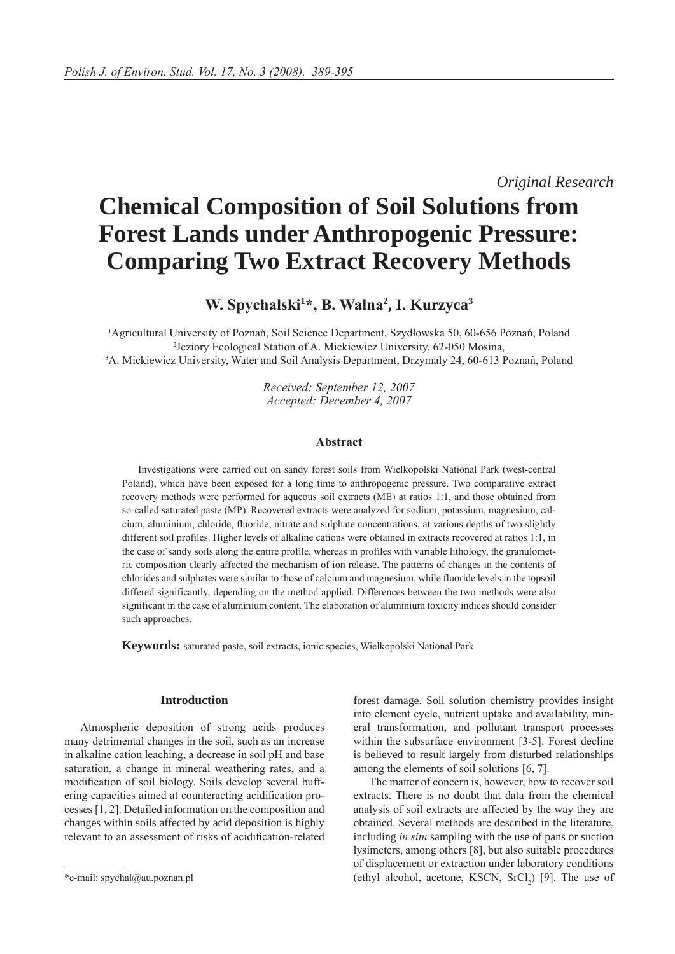*Original Research*

# **Chemical Composition of Soil Solutions from Forest Lands under Anthropogenic Pressure: Comparing Two Extract Recovery Methods**

**W. Spychalski<sup>1</sup> \*, B. Walna<sup>2</sup> , I. Kurzyca3**

1 Agricultural University of Poznań, Soil Science Department, Szydłowska 50, 60-656 Poznań, Poland <sup>2</sup> Jeziory Ecological Station of A. Mickiewicz University, 62-050 Mosina,<br><sup>3</sup> A. Mickiewicz University, Water and Soil Analysis Department, Drzymały 24, 60-613 E <sup>3</sup>A. Mickiewicz University, Water and Soil Analysis Department, Drzymały 24, 60-613 Poznań, Poland

> *Received: September 12, 2007 Accepted: December 4, 2007*

## **Abstract**

Investigations were carried out on sandy forest soils from Wielkopolski National Park (west-central Poland), which have been exposed for a long time to anthropogenic pressure. Two comparative extract recovery methods were performed for aqueous soil extracts (ME) at ratios 1:1, and those obtained from so-called saturated paste (MP). Recovered extracts were analyzed for sodium, potassium, magnesium, calcium, aluminium, chloride, fluoride, nitrate and sulphate concentrations, at various depths of two slightly different soil profiles. Higher levels of alkaline cations were obtained in extracts recovered at ratios 1:1, in the case of sandy soils along the entire profile, whereas in profiles with variable lithology, the granulometric composition clearly affected the mechanism of ion release. The patterns of changes in the contents of chlorides and sulphates were similar to those of calcium and magnesium, while fluoride levels in the topsoil differed significantly, depending on the method applied. Differences between the two methods were also significant in the case of aluminium content. The elaboration of aluminium toxicity indices should consider such approaches.

**Keywords:** saturated paste, soil extracts, ionic species, Wielkopolski National Park

## **Introduction**

Atmospheric deposition of strong acids produces many detrimental changes in the soil, such as an increase in alkaline cation leaching, a decrease in soil pH and base saturation, a change in mineral weathering rates, and a modification of soil biology. Soils develop several buffering capacities aimed at counteracting acidification processes [1, 2]. Detailed information on the composition and changes within soils affected by acid deposition is highly relevant to an assessment of risks of acidification-related forest damage. Soil solution chemistry provides insight into element cycle, nutrient uptake and availability, mineral transformation, and pollutant transport processes within the subsurface environment [3-5]. Forest decline is believed to result largely from disturbed relationships among the elements of soil solutions [6, 7].

The matter of concern is, however, how to recover soil extracts. There is no doubt that data from the chemical analysis of soil extracts are affected by the way they are obtained. Several methods are described in the literature, including *in situ* sampling with the use of pans or suction lysimeters, among others [8], but also suitable procedures of displacement or extraction under laboratory conditions \*e-mail: spychal@au.poznan.pl (ethyl alcohol, acetone, KSCN, SrCl<sub>2</sub>) [9]. The use of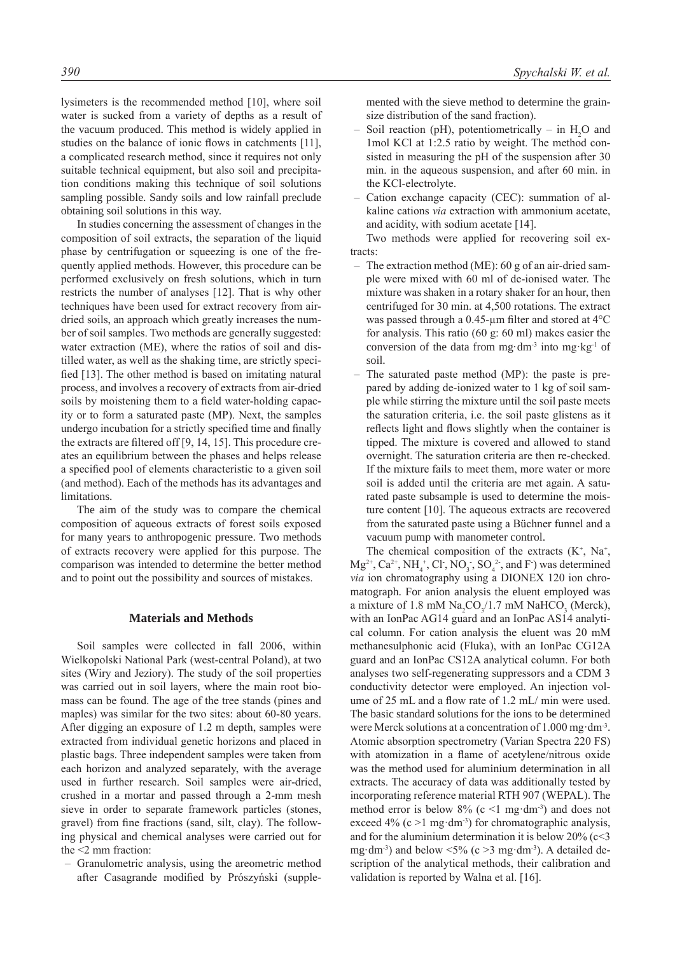lysimeters is the recommended method [10], where soil water is sucked from a variety of depths as a result of the vacuum produced. This method is widely applied in studies on the balance of ionic flows in catchments [11], a complicated research method, since it requires not only suitable technical equipment, but also soil and precipitation conditions making this technique of soil solutions sampling possible. Sandy soils and low rainfall preclude obtaining soil solutions in this way.

In studies concerning the assessment of changes in the composition of soil extracts, the separation of the liquid phase by centrifugation or squeezing is one of the frequently applied methods. However, this procedure can be performed exclusively on fresh solutions, which in turn restricts the number of analyses [12]. That is why other techniques have been used for extract recovery from airdried soils, an approach which greatly increases the number of soil samples. Two methods are generally suggested: water extraction (ME), where the ratios of soil and distilled water, as well as the shaking time, are strictly specified [13]. The other method is based on imitating natural process, and involves a recovery of extracts from air-dried soils by moistening them to a field water-holding capacity or to form a saturated paste (MP). Next, the samples undergo incubation for a strictly specified time and finally the extracts are filtered off [9, 14, 15]. This procedure creates an equilibrium between the phases and helps release a specified pool of elements characteristic to a given soil (and method). Each of the methods has its advantages and limitations.

The aim of the study was to compare the chemical composition of aqueous extracts of forest soils exposed for many years to anthropogenic pressure. Two methods of extracts recovery were applied for this purpose. The comparison was intended to determine the better method and to point out the possibility and sources of mistakes.

#### **Materials and Methods**

Soil samples were collected in fall 2006, within Wielkopolski National Park (west-central Poland), at two sites (Wiry and Jeziory). The study of the soil properties was carried out in soil layers, where the main root biomass can be found. The age of the tree stands (pines and maples) was similar for the two sites: about 60-80 years. After digging an exposure of 1.2 m depth, samples were extracted from individual genetic horizons and placed in plastic bags. Three independent samples were taken from each horizon and analyzed separately, with the average used in further research. Soil samples were air-dried, crushed in a mortar and passed through a 2-mm mesh sieve in order to separate framework particles (stones, gravel) from fine fractions (sand, silt, clay). The following physical and chemical analyses were carried out for the <2 mm fraction:

– Granulometric analysis, using the areometric method after Casagrande modified by Prószyński (supple-

*390 Spychalski W. et al.*

mented with the sieve method to determine the grainsize distribution of the sand fraction).

- Soil reaction (pH), potentiometrically in  $H_2O$  and 1mol KCl at 1:2.5 ratio by weight. The method consisted in measuring the pH of the suspension after 30 min. in the aqueous suspension, and after 60 min. in the KCl-electrolyte.
- Cation exchange capacity (CEC): summation of alkaline cations *via* extraction with ammonium acetate, and acidity, with sodium acetate [14].

Two methods were applied for recovering soil extracts:

- The extraction method (ME): 60 g of an air-dried sample were mixed with 60 ml of de-ionised water. The mixture was shaken in a rotary shaker for an hour, then centrifuged for 30 min. at 4,500 rotations. The extract was passed through a 0.45-µm filter and stored at 4°C for analysis. This ratio (60 g: 60 ml) makes easier the conversion of the data from mg·dm<sup>-3</sup> into mg·kg<sup>-1</sup> of soil.
- The saturated paste method (MP): the paste is prepared by adding de-ionized water to 1 kg of soil sample while stirring the mixture until the soil paste meets the saturation criteria, i.e. the soil paste glistens as it reflects light and flows slightly when the container is tipped. The mixture is covered and allowed to stand overnight. The saturation criteria are then re-checked. If the mixture fails to meet them, more water or more soil is added until the criteria are met again. A saturated paste subsample is used to determine the moisture content [10]. The aqueous extracts are recovered from the saturated paste using a Büchner funnel and a vacuum pump with manometer control.

The chemical composition of the extracts  $(K^+, Na^+,$  $Mg^{2+}$ , Ca<sup>2+</sup>, NH<sub>4</sub><sup>+</sup>, Cl, NO<sub>3</sub>, SO<sub>4</sub><sup>2</sup>, and F ) was determined *via* ion chromatography using a DIONEX 120 ion chromatograph. For anion analysis the eluent employed was a mixture of 1.8 mM  $\text{Na}_2\text{CO}_3/1.7$  mM  $\text{NaHCO}_3$  (Merck), with an IonPac AG14 guard and an IonPac AS14 analytical column. For cation analysis the eluent was 20 mM methanesulphonic acid (Fluka), with an IonPac CG12A guard and an IonPac CS12A analytical column. For both analyses two self-regenerating suppressors and a CDM 3 conductivity detector were employed. An injection volume of 25 mL and a flow rate of 1.2 mL/ min were used. The basic standard solutions for the ions to be determined were Merck solutions at a concentration of 1.000 mg·dm-3. Atomic absorption spectrometry (Varian Spectra 220 FS) with atomization in a flame of acetylene/nitrous oxide was the method used for aluminium determination in all extracts. The accuracy of data was additionally tested by incorporating reference material RTH 907 (WEPAL). The method error is below  $8\%$  (c <1 mg·dm<sup>-3</sup>) and does not exceed 4% (c  $>1$  mg·dm<sup>-3</sup>) for chromatographic analysis, and for the aluminium determination it is below  $20\%$  (c<3 mg·dm<sup>-3</sup>) and below  $\leq$ 5% (c  $\geq$ 3 mg·dm<sup>-3</sup>). A detailed description of the analytical methods, their calibration and validation is reported by Walna et al. [16].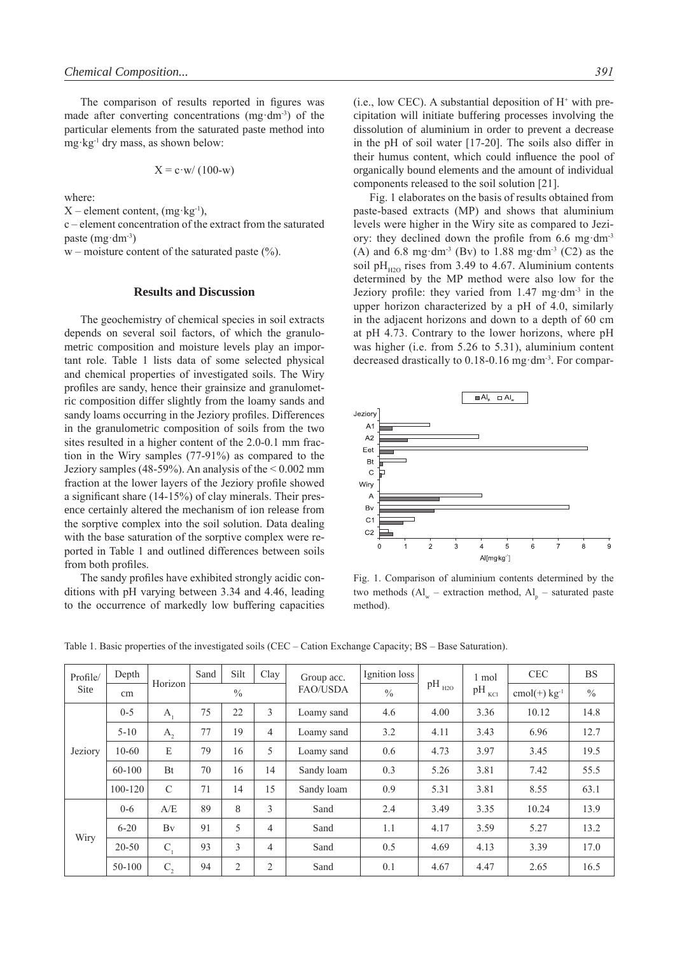The comparison of results reported in figures was made after converting concentrations (mg·dm-3) of the particular elements from the saturated paste method into mg·kg-1 dry mass, as shown below:

$$
X = c \cdot w / (100-w)
$$

where:

 $X$  – element content, (mg·kg<sup>-1</sup>),

c – element concentration of the extract from the saturated paste (mg·dm-3)

 $w$  – moisture content of the saturated paste (%).

### **Results and Discussion**

The geochemistry of chemical species in soil extracts depends on several soil factors, of which the granulometric composition and moisture levels play an important role. Table 1 lists data of some selected physical and chemical properties of investigated soils. The Wiry profiles are sandy, hence their grainsize and granulometric composition differ slightly from the loamy sands and sandy loams occurring in the Jeziory profiles. Differences in the granulometric composition of soils from the two sites resulted in a higher content of the 2.0-0.1 mm fraction in the Wiry samples (77-91%) as compared to the Jeziory samples (48-59%). An analysis of the  $\leq 0.002$  mm fraction at the lower layers of the Jeziory profile showed a significant share (14-15%) of clay minerals. Their presence certainly altered the mechanism of ion release from the sorptive complex into the soil solution. Data dealing with the base saturation of the sorptive complex were reported in Table 1 and outlined differences between soils from both profiles.

The sandy profiles have exhibited strongly acidic conditions with pH varying between 3.34 and 4.46, leading to the occurrence of markedly low buffering capacities

 $(i.e., low CEC)$ . A substantial deposition of  $H<sup>+</sup>$  with precipitation will initiate buffering processes involving the dissolution of aluminium in order to prevent a decrease in the pH of soil water [17-20]. The soils also differ in their humus content, which could influence the pool of organically bound elements and the amount of individual components released to the soil solution [21].

Fig. 1 elaborates on the basis of results obtained from paste-based extracts (MP) and shows that aluminium levels were higher in the Wiry site as compared to Jeziory: they declined down the profile from 6.6 mg·dm-3 (A) and 6.8 mg·dm<sup>-3</sup> (Bv) to 1.88 mg·dm<sup>-3</sup> (C2) as the soil pH<sub> $H_{H2O}$ </sub> rises from 3.49 to 4.67. Aluminium contents determined by the MP method were also low for the Jeziory profile: they varied from 1.47 mg·dm-3 in the upper horizon characterized by a pH of 4.0, similarly in the adjacent horizons and down to a depth of 60 cm at pH 4.73. Contrary to the lower horizons, where pH was higher (i.e. from 5.26 to 5.31), aluminium content decreased drastically to 0.18-0.16 mg·dm-3. For compar-



Fig. 1. Comparison of aluminium contents determined by the two methods  $(Al_w -$  extraction method,  $Al_p -$  saturated paste method).

| Profile/<br>Site | Depth       |               | Sand          | Silt           | Clay           | Group acc.      | Ignition loss |            | 1 mol     | <b>CEC</b>        | <b>BS</b>     |
|------------------|-------------|---------------|---------------|----------------|----------------|-----------------|---------------|------------|-----------|-------------------|---------------|
|                  | cm          | Horizon       | $\frac{0}{0}$ |                |                | <b>FAO/USDA</b> | $\%$          | $pH_{H2O}$ | pН<br>KCI | cmol(+) $kg^{-1}$ | $\frac{0}{0}$ |
| Jeziory          | $0 - 5$     | $A_{1}$       | 75            | 22             | 3              | Loamy sand      | 4.6           | 4.00       | 3.36      | 10.12             | 14.8          |
|                  | $5 - 10$    | A,            | 77            | 19             | 4              | Loamy sand      | 3.2           | 4.11       | 3.43      | 6.96              | 12.7          |
|                  | $10 - 60$   | E             | 79            | 16             | 5              | Loamy sand      | 0.6           | 4.73       | 3.97      | 3.45              | 19.5          |
|                  | $60-100$    | <b>Bt</b>     | 70            | 16             | 14             | Sandy loam      | 0.3           | 5.26       | 3.81      | 7.42              | 55.5          |
|                  | $100 - 120$ | $\mathcal{C}$ | 71            | 14             | 15             | Sandy loam      | 0.9           | 5.31       | 3.81      | 8.55              | 63.1          |
| Wiry             | $0 - 6$     | A/E           | 89            | 8              | 3              | Sand            | 2.4           | 3.49       | 3.35      | 10.24             | 13.9          |
|                  | $6 - 20$    | Bv            | 91            | 5              | 4              | Sand            | 1.1           | 4.17       | 3.59      | 5.27              | 13.2          |
|                  | $20 - 50$   | $C_{1}$       | 93            | 3              | $\overline{4}$ | Sand            | 0.5           | 4.69       | 4.13      | 3.39              | 17.0          |
|                  | 50-100      | $C_{2}$       | 94            | $\overline{2}$ | $\overline{2}$ | Sand            | 0.1           | 4.67       | 4.47      | 2.65              | 16.5          |

Table 1. Basic properties of the investigated soils (CEC – Cation Exchange Capacity; BS – Base Saturation).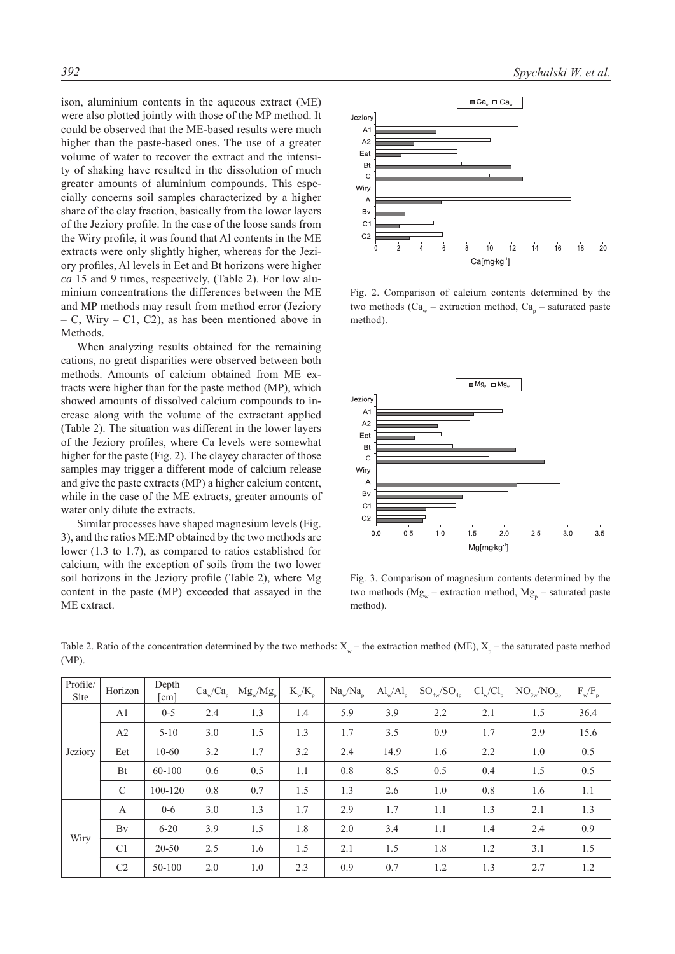ison, aluminium contents in the aqueous extract (ME) were also plotted jointly with those of the MP method. It could be observed that the ME-based results were much higher than the paste-based ones. The use of a greater volume of water to recover the extract and the intensity of shaking have resulted in the dissolution of much greater amounts of aluminium compounds. This especially concerns soil samples characterized by a higher share of the clay fraction, basically from the lower layers of the Jeziory profile. In the case of the loose sands from the Wiry profile, it was found that Al contents in the ME extracts were only slightly higher, whereas for the Jeziory profiles, Al levels in Eet and Bt horizons were higher *ca* 15 and 9 times, respectively, (Table 2). For low aluminium concentrations the differences between the ME and MP methods may result from method error (Jeziory – C, Wiry – C1, C2), as has been mentioned above in Methods.

When analyzing results obtained for the remaining cations, no great disparities were observed between both methods. Amounts of calcium obtained from ME extracts were higher than for the paste method (MP), which showed amounts of dissolved calcium compounds to increase along with the volume of the extractant applied (Table 2). The situation was different in the lower layers of the Jeziory profiles, where Ca levels were somewhat higher for the paste (Fig. 2). The clayey character of those samples may trigger a different mode of calcium release and give the paste extracts (MP) a higher calcium content, while in the case of the ME extracts, greater amounts of water only dilute the extracts.

Similar processes have shaped magnesium levels (Fig. 3), and the ratios ME:MP obtained by the two methods are lower (1.3 to 1.7), as compared to ratios established for calcium, with the exception of soils from the two lower soil horizons in the Jeziory profile (Table 2), where Mg content in the paste (MP) exceeded that assayed in the ME extract.



Fig. 2. Comparison of calcium contents determined by the two methods ( $Ca_w -$  extraction method,  $Ca_p -$  saturated paste method).



Fig. 3. Comparison of magnesium contents determined by the two methods ( $Mg_w$  – extraction method,  $Mg_p$  – saturated paste method).

| Profile/<br>Site | Horizon        | Depth<br>[cm] | Ca <sub>w</sub> /Ca <sub>p</sub> | $Mg_{w}/Mg_{p}$ | $K_w/K_p$ | $\text{Na}_{\text{w}}/\text{Na}_{\text{p}}$ | $\text{Al}_{\text{w}}/\text{Al}_{\text{p}}$ | $SO_{4w}/SO_{4p}$ | $Cl_w/Cl_p$ | $\mathrm{NO}_{\mathrm{3w}}\mathrm{/NO}_{\mathrm{3p}}$ | $F_w/F_p$ |
|------------------|----------------|---------------|----------------------------------|-----------------|-----------|---------------------------------------------|---------------------------------------------|-------------------|-------------|-------------------------------------------------------|-----------|
| Jeziory          | A <sub>1</sub> | $0 - 5$       | 2.4                              | 1.3             | 1.4       | 5.9                                         | 3.9                                         | 2.2               | 2.1         | 1.5                                                   | 36.4      |
|                  | A2             | $5 - 10$      | 3.0                              | 1.5             | 1.3       | 1.7                                         | 3.5                                         | 0.9               | 1.7         | 2.9                                                   | 15.6      |
|                  | Eet            | $10 - 60$     | 3.2                              | 1.7             | 3.2       | 2.4                                         | 14.9                                        | 1.6               | 2.2         | 1.0                                                   | 0.5       |
|                  | Bt             | $60 - 100$    | 0.6                              | 0.5             | 1.1       | 0.8                                         | 8.5                                         | 0.5               | 0.4         | 1.5                                                   | 0.5       |
|                  | $\mathcal{C}$  | 100-120       | 0.8                              | 0.7             | 1.5       | 1.3                                         | 2.6                                         | 1.0               | 0.8         | 1.6                                                   | 1.1       |
| Wiry             | A              | $0 - 6$       | 3.0                              | 1.3             | 1.7       | 2.9                                         | 1.7                                         | 1.1               | 1.3         | 2.1                                                   | 1.3       |
|                  | Bv             | $6 - 20$      | 3.9                              | 1.5             | 1.8       | 2.0                                         | 3.4                                         | 1.1               | 1.4         | 2.4                                                   | 0.9       |
|                  | C <sub>1</sub> | $20 - 50$     | 2.5                              | 1.6             | 1.5       | 2.1                                         | 1.5                                         | 1.8               | 1.2         | 3.1                                                   | 1.5       |
|                  | C <sub>2</sub> | $50 - 100$    | 2.0                              | 1.0             | 2.3       | 0.9                                         | 0.7                                         | 1.2               | 1.3         | 2.7                                                   | 1.2       |

Table 2. Ratio of the concentration determined by the two methods:  $X_w$  – the extraction method (ME),  $X_p$  – the saturated paste method (MP).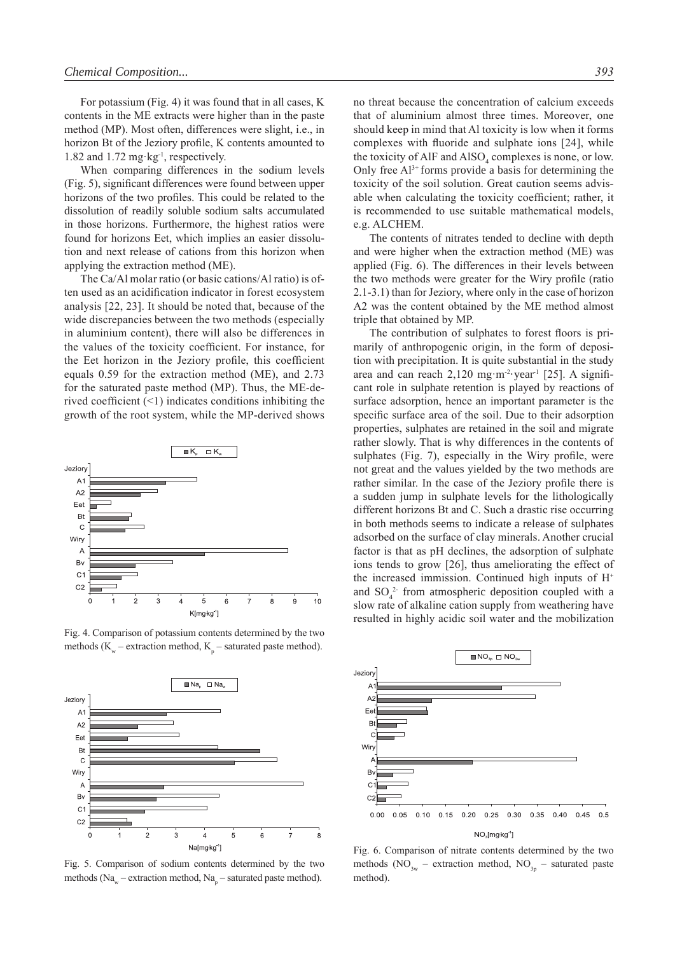For potassium (Fig. 4) it was found that in all cases, K contents in the ME extracts were higher than in the paste method (MP). Most often, differences were slight, i.e., in horizon Bt of the Jeziory profile, K contents amounted to 1.82 and 1.72 mg·kg<sup>-1</sup>, respectively.

When comparing differences in the sodium levels (Fig. 5), significant differences were found between upper horizons of the two profiles. This could be related to the dissolution of readily soluble sodium salts accumulated in those horizons. Furthermore, the highest ratios were found for horizons Eet, which implies an easier dissolution and next release of cations from this horizon when applying the extraction method (ME).

The Ca/Al molar ratio (or basic cations/Al ratio) is often used as an acidification indicator in forest ecosystem analysis [22, 23]. It should be noted that, because of the wide discrepancies between the two methods (especially in aluminium content), there will also be differences in the values of the toxicity coefficient. For instance, for the Eet horizon in the Jeziory profile, this coefficient equals 0.59 for the extraction method (ME), and 2.73 for the saturated paste method (MP). Thus, the ME-derived coefficient  $(\leq 1)$  indicates conditions inhibiting the growth of the root system, while the MP-derived shows



Fig. 4. Comparison of potassium contents determined by the two methods ( $K_w$  – extraction method,  $K_p$  – saturated paste method).



Fig. 5. Comparison of sodium contents determined by the two methods (Na<sub>w</sub> – extraction method, Na<sub>p</sub> – saturated paste method).

no threat because the concentration of calcium exceeds that of aluminium almost three times. Moreover, one should keep in mind that Al toxicity is low when it forms complexes with fluoride and sulphate ions [24], while the toxicity of AlF and  $\text{AISO}_4$  complexes is none, or low. Only free  $Al^{3+}$  forms provide a basis for determining the toxicity of the soil solution. Great caution seems advisable when calculating the toxicity coefficient; rather, it is recommended to use suitable mathematical models, e.g. ALCHEM.

The contents of nitrates tended to decline with depth and were higher when the extraction method (ME) was applied (Fig. 6). The differences in their levels between the two methods were greater for the Wiry profile (ratio 2.1-3.1) than for Jeziory, where only in the case of horizon A2 was the content obtained by the ME method almost triple that obtained by MP.

The contribution of sulphates to forest floors is primarily of anthropogenic origin, in the form of deposition with precipitation. It is quite substantial in the study area and can reach  $2,120$  mg m<sup>-2</sup>·year<sup>-1</sup> [25]. A significant role in sulphate retention is played by reactions of surface adsorption, hence an important parameter is the specific surface area of the soil. Due to their adsorption properties, sulphates are retained in the soil and migrate rather slowly. That is why differences in the contents of sulphates (Fig. 7), especially in the Wiry profile, were not great and the values yielded by the two methods are rather similar. In the case of the Jeziory profile there is a sudden jump in sulphate levels for the lithologically different horizons Bt and C. Such a drastic rise occurring in both methods seems to indicate a release of sulphates adsorbed on the surface of clay minerals. Another crucial factor is that as pH declines, the adsorption of sulphate ions tends to grow [26], thus ameliorating the effect of the increased immission. Continued high inputs of H<sup>+</sup> and  $SO_4^2$  from atmospheric deposition coupled with a slow rate of alkaline cation supply from weathering have resulted in highly acidic soil water and the mobilization



Fig. 6. Comparison of nitrate contents determined by the two methods (NO<sub>3w</sub> – extraction method, NO<sub>3p</sub> – saturated paste method).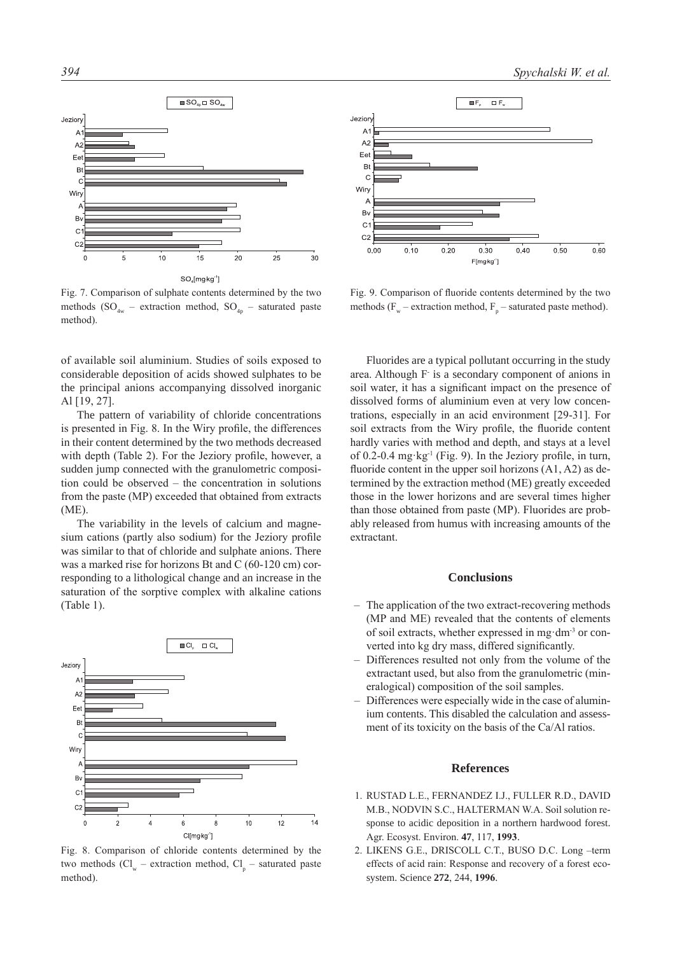

Fig. 7. Comparison of sulphate contents determined by the two methods ( $SO_{4w}$  – extraction method,  $SO_{4p}$  – saturated paste method).

of available soil aluminium. Studies of soils exposed to considerable deposition of acids showed sulphates to be the principal anions accompanying dissolved inorganic Al [19, 27].

The pattern of variability of chloride concentrations is presented in Fig. 8. In the Wiry profile, the differences in their content determined by the two methods decreased with depth (Table 2). For the Jeziory profile, however, a sudden jump connected with the granulometric composition could be observed – the concentration in solutions from the paste (MP) exceeded that obtained from extracts (ME).

The variability in the levels of calcium and magnesium cations (partly also sodium) for the Jeziory profile was similar to that of chloride and sulphate anions. There was a marked rise for horizons Bt and C (60-120 cm) corresponding to a lithological change and an increase in the saturation of the sorptive complex with alkaline cations (Table 1).



Fig. 8. Comparison of chloride contents determined by the two methods  $(Cl_w -$  extraction method,  $Cl_p -$  saturated paste method).



Fig. 9. Comparison of fluoride contents determined by the two methods ( $F_w$  – extraction method,  $F_p$  – saturated paste method).

Fluorides are a typical pollutant occurring in the study area. Although F is a secondary component of anions in soil water, it has a significant impact on the presence of dissolved forms of aluminium even at very low concentrations, especially in an acid environment [29-31]. For soil extracts from the Wiry profile, the fluoride content hardly varies with method and depth, and stays at a level of 0.2-0.4 mg·kg-1 (Fig. 9). In the Jeziory profile, in turn, fluoride content in the upper soil horizons  $(A1, A2)$  as determined by the extraction method (ME) greatly exceeded those in the lower horizons and are several times higher than those obtained from paste (MP). Fluorides are probably released from humus with increasing amounts of the extractant.

#### **Conclusions**

- The application of the two extract-recovering methods (MP and ME) revealed that the contents of elements of soil extracts, whether expressed in mg·dm-3 or converted into kg dry mass, differed significantly.
- Differences resulted not only from the volume of the extractant used, but also from the granulometric (mineralogical) composition of the soil samples.
- Differences were especially wide in the case of aluminium contents. This disabled the calculation and assessment of its toxicity on the basis of the Ca/Al ratios.

#### **References**

- 1. RUSTAD L.E., FERNANDEZ I.J., FULLER R.D., DAVID M.B., NODVIN S.C., HALTERMAN W.A. Soil solution response to acidic deposition in a northern hardwood forest. Agr. Ecosyst. Environ. **47**, 117, **1993**.
- 2. LIKENS G.E., DRISCOLL C.T., BUSO D.C. Long –term effects of acid rain: Response and recovery of a forest ecosystem. Science **272**, 244, **1996**.